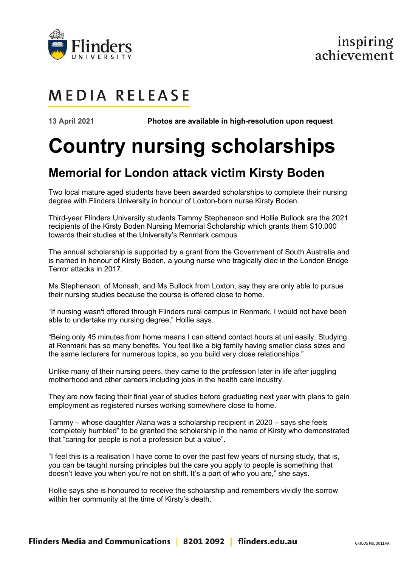

## inspiring achievement

# **MEDIA RELEASE**

**13 April 2021 Photos are available in high-resolution upon request**

# **Country nursing scholarships**

### **Memorial for London attack victim Kirsty Boden**

Two local mature aged students have been awarded scholarships to complete their nursing degree with Flinders University in honour of Loxton-born nurse Kirsty Boden.

Third-year Flinders University students Tammy Stephenson and Hollie Bullock are the 2021 recipients of the Kirsty Boden Nursing Memorial Scholarship which grants them \$10,000 towards their studies at the University's Renmark campus.

The annual scholarship is supported by a grant from the Government of South Australia and is named in honour of Kirsty Boden, a young nurse who tragically died in the London Bridge Terror attacks in 2017.

Ms Stephenson, of Monash, and Ms Bullock from Loxton, say they are only able to pursue their nursing studies because the course is offered close to home.

"If nursing wasn't offered through Flinders rural campus in Renmark, I would not have been able to undertake my nursing degree," Hollie says.

"Being only 45 minutes from home means I can attend contact hours at uni easily. Studying at Renmark has so many benefits. You feel like a big family having smaller class sizes and the same lecturers for numerous topics, so you build very close relationships."

Unlike many of their nursing peers, they came to the profession later in life after juggling motherhood and other careers including jobs in the health care industry.

They are now facing their final year of studies before graduating next year with plans to gain employment as registered nurses working somewhere close to home.

Tammy – whose daughter Alana was a scholarship recipient in 2020 – says she feels "completely humbled" to be granted the scholarship in the name of Kirsty who demonstrated that "caring for people is not a profession but a value".

"I feel this is a realisation I have come to over the past few years of nursing study, that is, you can be taught nursing principles but the care you apply to people is something that doesn't leave you when you're not on shift. It's a part of who you are," she says.

Hollie says she is honoured to receive the scholarship and remembers vividly the sorrow within her community at the time of Kirsty's death.